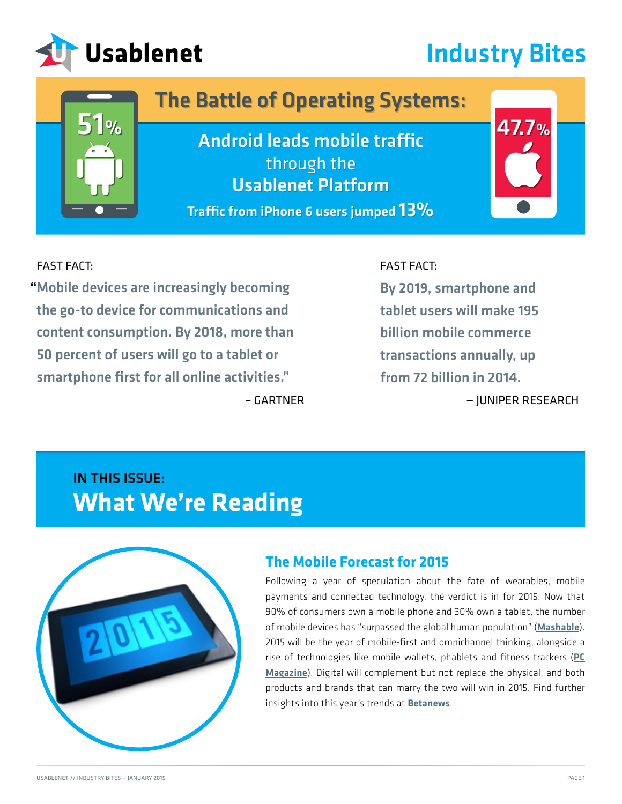

# **Industry Bites**

## The Battle of Operating Systems: The Battle of Operating Systems:

 $51\%$   $\overline{\phantom{a}47.7\%}$ Android leads mobile traffic through the through the Usablenet Platform Usablenet Platform 51% 47.7% Android leads mobile traffic

Traffic from iPhone 6 users jumped  $13\%$ 

[– GARTNER](https://www.internetretailer.com/2014/12/05/retail-sales-mobile-app-skyrocket-uks-black-friday?mkt_tok=3RkMMJWWfF9wsRoks6vNZKXonjHpfsX57%2BkpWK%2B%2BlMI%2F0ER3fOvrPUfGjI4DScJlI%2BSLDwEYGJlv6SgFTLTBMbJ60rgEXRg%3D)



FAST FACT:

"Mobile devices are increasingly becoming the go-to device for communications and content consumption. By 2018, more than 50 percent of users will go to a tablet or smartphone first for all online activities."

#### FAST FACT:

By 2019, smartphone and tablet users will make 195 billion mobile commerce transactions annually, up from 72 billion in 2014.

— JUNIPER RESEARCH

## IN THIS ISSUE: **What We're Reading**



#### **The Mobile Forecast for 2015**

Following a year of speculation about the fate of wearables, mobile payments and connected technology, the verdict is in for 2015. Now that 90% of consumers own a mobile phone and 30% own a tablet, the number of mobile devices has "surpassed the global human population" ([Mashable](http://mashable.com/2015/01/02/mobile-trends-2015/?mkt_tok=3RkMMJWWfF9wsRoks6XOZKXonjHpfsX57%2BkpWK%2B%2BlMI%2F0ER3fOvrPUfGjI4DScFjI%2BSLDwEYGJlv6SgFTLTBMbJ60rgEXRg%3D)). 2015 will be the year of mobile-first and omnichannel thinking, alongside a rise of technologies like mobile wallets, phablets and fitness trackers ([PC](http://www.pcmag.com/article2/0,2817,2474114,00.asp?mkt_tok=3RkMMJWWfF9wsRoks6XOZKXonjHpfsX57%2BkpWK%2B%2BlMI%2F0ER3fOvrPUfGjI4DScFjI%2BSLDwEYGJlv6SgFTLTBMbJ60rgEXRg%3D) [Magazine](http://www.pcmag.com/article2/0,2817,2474114,00.asp?mkt_tok=3RkMMJWWfF9wsRoks6XOZKXonjHpfsX57%2BkpWK%2B%2BlMI%2F0ER3fOvrPUfGjI4DScFjI%2BSLDwEYGJlv6SgFTLTBMbJ60rgEXRg%3D)). Digital will complement but not replace the physical, and both products and brands that can marry the two will win in 2015. Find further insights into this year's trends at **[Betanews](http://betanews.com/2014/12/15/predictions-top-ten-mobile-trends-for-2015/?mkt_tok=3RkMMJWWfF9wsRoks6XOZKXonjHpfsX57%2BkpWK%2B%2BlMI%2F0ER3fOvrPUfGjI4DScFjI%2BSLDwEYGJlv6SgFTLTBMbJ60rgEXRg%3D)**.